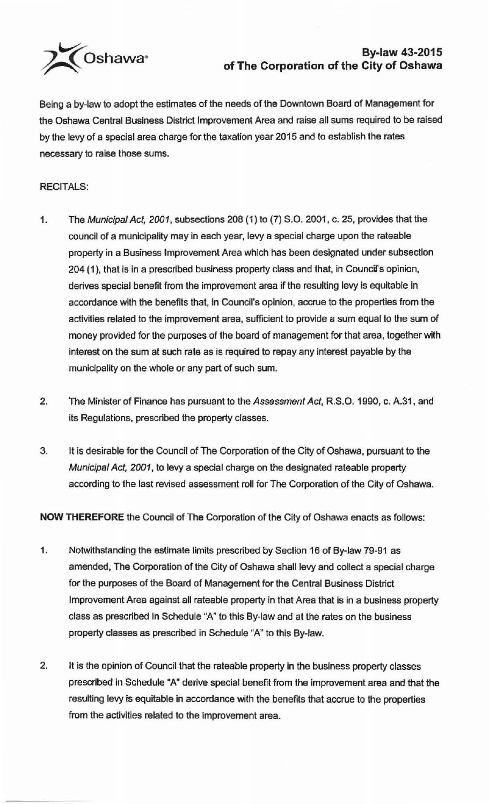

## **By-law 43-2015 of The Corporation of the City of Oshawa**

Being a by-law to adopt the estimates of the needs of the Downtown Board of Management for the Oshawa Central Business District Improvement Area and raise all sums required to be raised by the levy of a special area charge for the taxation year 2015 and to establish the rates necessary to raise those sums.

## RECITALS:

- 1. The Municipal Act, 2001, subsections 208 (1) to (7) S.0. 2001, c. 25, provides that the council of a municipality may in each year, levy a special charge upon the rateable property in a Business Improvement Area which has been designated under subsection 204 (1 ), that is in a prescribed business property class and that, in Council's opinion, derives special benefit from the improvement area if the resulting levy is equitable in accordance with the benefits that, in Council's opinion, accrue to the properties from the activities related to the improvement area, sufficient to provide a sum equal to the sum of money provided for the purposes of the board of management for that area, together with interest on the sum at such rate as is required to repay any interest payable by the municipality on the whole or any part of such sum.
- 2. The Minister of Finance has pursuant to the Assessment Act, R.S.O. 1990, c. A.31, and its Regulations, prescribed the property classes.
- 3. It is desirable for the Council of The Corporation of the City of Oshawa, pursuant to the Municipal Act, 2001, to levy a special charge on the designated rateable property according to the last revised assessment roll for The Corporation of the City of Oshawa.

**NOW THEREFORE** the Council of The Corporation of the City of Oshawa enacts as follows:

- 1. Notwithstanding the estimate limits prescribed by Section 16 of By-law 79-91 as amended, The Corporation of the City of Oshawa shall levy and collect a special charge for the purposes of the Board of Management for the Central Business District Improvement Area against all rateable property in that Area that is in a business property class as prescribed in Schedule "A" to this By-law and at the rates on the business property classes as prescribed in Schedule "A" to this By-law.
- 2. It is the opinion of Council that the rateable property in the business property classes prescribed in Schedule "A" derive special benefit from the improvement area and that the resulting levy is equitable in accordance with the benefits that accrue to the properties from the activities related to the improvement area.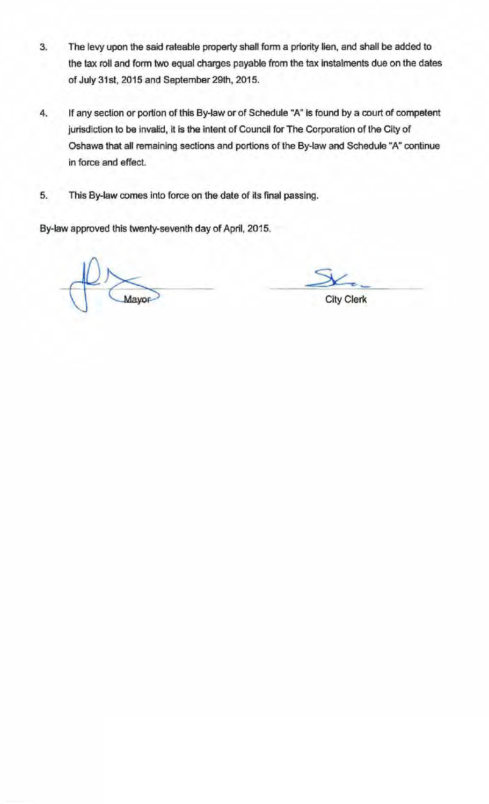- 3. The levy upon the said rateable property shall form a priority lien, and shall be added to the tax roll and form two equal charges payable from the tax instalments due on the dates of July 31st, 2015 and September 29th, 2015.
- 4. If any section or portion of this By-law or of Schedule "A" is found by a court of competent jurisdiction to be invalid, it is the intent of Council for The Corporation of the City of Oshawa that all remaining sections and portions of the By-law and Schedule "A" continue in force and effect.
- 5. This By-law comes into force on the date of its final passing.

By-law approved this twenty-seventh day of April, 2015.

City Clerk